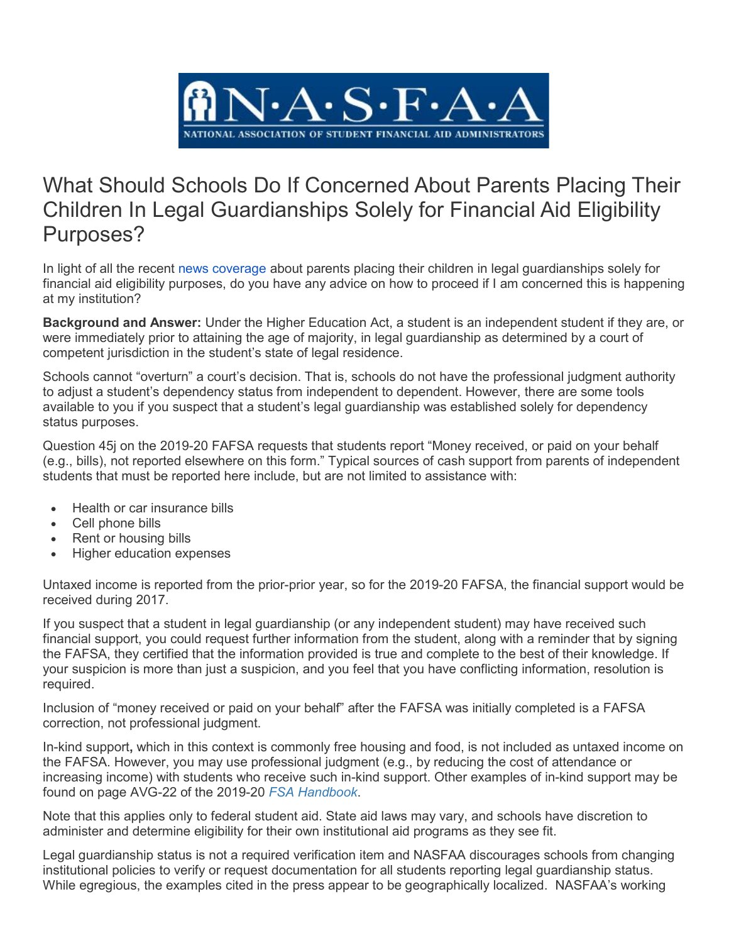

## What Should Schools Do If Concerned About Parents Placing Their Children In Legal Guardianships Solely for Financial Aid Eligibility Purposes?

In light of all the recent [news coverage](https://www.nasfaa.org/news-item/18984/News_Roundup) about parents placing their children in legal guardianships solely for financial aid eligibility purposes, do you have any advice on how to proceed if I am concerned this is happening at my institution?

**Background and Answer:** Under the Higher Education Act, a student is an independent student if they are, or were immediately prior to attaining the age of majority, in legal guardianship as determined by a court of competent jurisdiction in the student's state of legal residence.

Schools cannot "overturn" a court's decision. That is, schools do not have the professional judgment authority to adjust a student's dependency status from independent to dependent. However, there are some tools available to you if you suspect that a student's legal guardianship was established solely for dependency status purposes.

Question 45j on the 2019-20 FAFSA requests that students report "Money received, or paid on your behalf (e.g., bills), not reported elsewhere on this form." Typical sources of cash support from parents of independent students that must be reported here include, but are not limited to assistance with:

- Health or car insurance bills
- Cell phone bills
- Rent or housing bills
- Higher education expenses

Untaxed income is reported from the prior-prior year, so for the 2019-20 FAFSA, the financial support would be received during 2017.

If you suspect that a student in legal guardianship (or any independent student) may have received such financial support, you could request further information from the student, along with a reminder that by signing the FAFSA, they certified that the information provided is true and complete to the best of their knowledge. If your suspicion is more than just a suspicion, and you feel that you have conflicting information, resolution is required.

Inclusion of "money received or paid on your behalf" after the FAFSA was initially completed is a FAFSA correction, not professional judgment.

In-kind support**,** which in this context is commonly free housing and food, is not included as untaxed income on the FAFSA. However, you may use professional judgment (e.g., by reducing the cost of attendance or increasing income) with students who receive such in-kind support. Other examples of in-kind support may be found on page AVG-22 of the 2019-20 *[FSA Handbook](https://ifap.ed.gov/ifap/byAwardYear.jsp?type=fsahandbook)*.

Note that this applies only to federal student aid. State aid laws may vary, and schools have discretion to administer and determine eligibility for their own institutional aid programs as they see fit.

Legal guardianship status is not a required verification item and NASFAA discourages schools from changing institutional policies to verify or request documentation for all students reporting legal guardianship status. While egregious, the examples cited in the press appear to be geographically localized. NASFAA's working